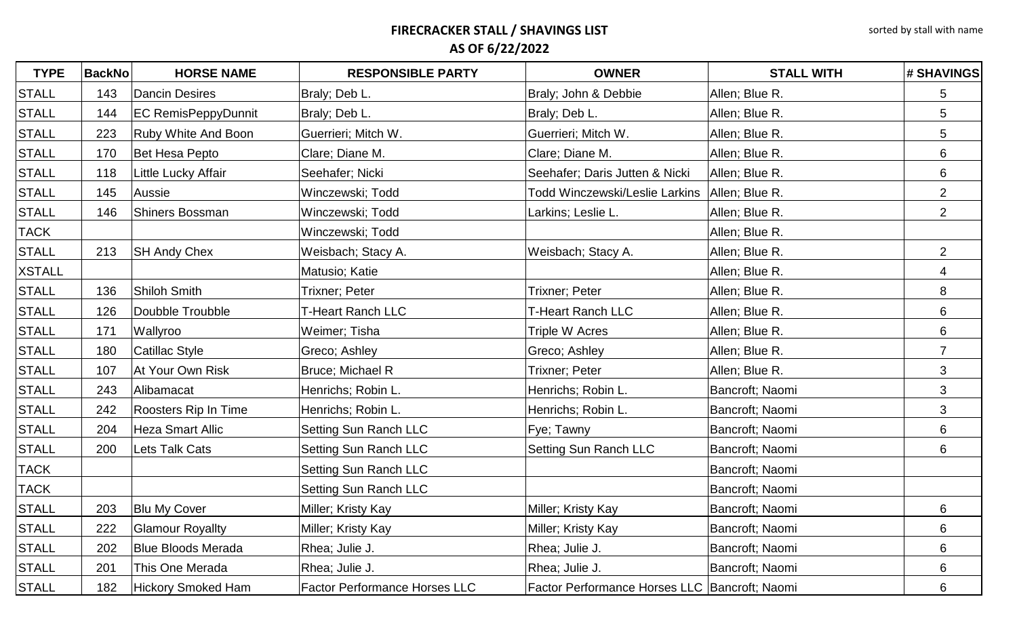| <b>TYPE</b>   | <b>BackNo</b> | <b>HORSE NAME</b>          | <b>RESPONSIBLE PARTY</b>             | <b>OWNER</b>                                  | <b>STALL WITH</b> | # SHAVINGS      |
|---------------|---------------|----------------------------|--------------------------------------|-----------------------------------------------|-------------------|-----------------|
| <b>STALL</b>  | 143           | Dancin Desires             | Braly; Deb L.                        | Braly; John & Debbie                          | Allen; Blue R.    | 5               |
| <b>STALL</b>  | 144           | <b>EC RemisPeppyDunnit</b> | Braly; Deb L.                        | Braly; Deb L.                                 | Allen; Blue R.    | 5               |
| <b>STALL</b>  | 223           | <b>Ruby White And Boon</b> | Guerrieri; Mitch W.                  | Guerrieri; Mitch W.                           | Allen; Blue R.    | 5               |
| <b>STALL</b>  | 170           | Bet Hesa Pepto             | Clare; Diane M.                      | Clare; Diane M.                               | Allen; Blue R.    | 6               |
| <b>STALL</b>  | 118           | Little Lucky Affair        | Seehafer; Nicki                      | Seehafer; Daris Jutten & Nicki                | Allen; Blue R.    | 6               |
| <b>STALL</b>  | 145           | Aussie                     | Winczewski; Todd                     | <b>Todd Winczewski/Leslie Larkins</b>         | Allen; Blue R.    | 2 <sup>1</sup>  |
| <b>STALL</b>  | 146           | Shiners Bossman            | Winczewski; Todd                     | Larkins; Leslie L.                            | Allen; Blue R.    | $\overline{2}$  |
| <b>TACK</b>   |               |                            | Winczewski; Todd                     |                                               | Allen; Blue R.    |                 |
| <b>STALL</b>  | 213           | <b>SH Andy Chex</b>        | Weisbach; Stacy A.                   | Weisbach; Stacy A.                            | Allen; Blue R.    | 2 <sup>1</sup>  |
| <b>XSTALL</b> |               |                            | Matusio; Katie                       |                                               | Allen; Blue R.    | $\overline{4}$  |
| <b>STALL</b>  | 136           | <b>Shiloh Smith</b>        | Trixner; Peter                       | Trixner; Peter                                | Allen; Blue R.    | 8               |
| <b>STALL</b>  | 126           | Doubble Troubble           | <b>T-Heart Ranch LLC</b>             | <b>T-Heart Ranch LLC</b>                      | Allen; Blue R.    | 6               |
| <b>STALL</b>  | 171           | Wallyroo                   | Weimer; Tisha                        | <b>Triple W Acres</b>                         | Allen; Blue R.    | 6               |
| <b>STALL</b>  | 180           | Catillac Style             | Greco; Ashley                        | Greco; Ashley                                 | Allen; Blue R.    | $\overline{7}$  |
| <b>STALL</b>  | 107           | At Your Own Risk           | Bruce; Michael R                     | Trixner; Peter                                | Allen; Blue R.    | 3               |
| <b>STALL</b>  | 243           | Alibamacat                 | Henrichs; Robin L.                   | Henrichs; Robin L.                            | Bancroft; Naomi   | 3               |
| <b>STALL</b>  | 242           | Roosters Rip In Time       | Henrichs; Robin L.                   | Henrichs; Robin L.                            | Bancroft; Naomi   | $\mathbf{3}$    |
| <b>STALL</b>  | 204           | <b>Heza Smart Allic</b>    | <b>Setting Sun Ranch LLC</b>         | Fye; Tawny                                    | Bancroft; Naomi   | $6\phantom{1}$  |
| <b>STALL</b>  | 200           | Lets Talk Cats             | <b>Setting Sun Ranch LLC</b>         | <b>Setting Sun Ranch LLC</b>                  | Bancroft; Naomi   | 6               |
| <b>TACK</b>   |               |                            | <b>Setting Sun Ranch LLC</b>         |                                               | Bancroft; Naomi   |                 |
| <b>TACK</b>   |               |                            | <b>Setting Sun Ranch LLC</b>         |                                               | Bancroft; Naomi   |                 |
| <b>STALL</b>  | 203           | <b>Blu My Cover</b>        | Miller; Kristy Kay                   | Miller; Kristy Kay                            | Bancroft; Naomi   | 6               |
| <b>STALL</b>  | 222           | <b>Glamour Royallty</b>    | Miller; Kristy Kay                   | Miller; Kristy Kay                            | Bancroft; Naomi   | $6\phantom{1}$  |
| <b>STALL</b>  | 202           | <b>Blue Bloods Merada</b>  | Rhea; Julie J.                       | Rhea; Julie J.                                | Bancroft; Naomi   | 6               |
| <b>STALL</b>  | 201           | This One Merada            | Rhea; Julie J.                       | Rhea; Julie J.                                | Bancroft; Naomi   | $6\phantom{1}6$ |
| <b>STALL</b>  | 182           | Hickory Smoked Ham         | <b>Factor Performance Horses LLC</b> | Factor Performance Horses LLC Bancroft; Naomi |                   | 6               |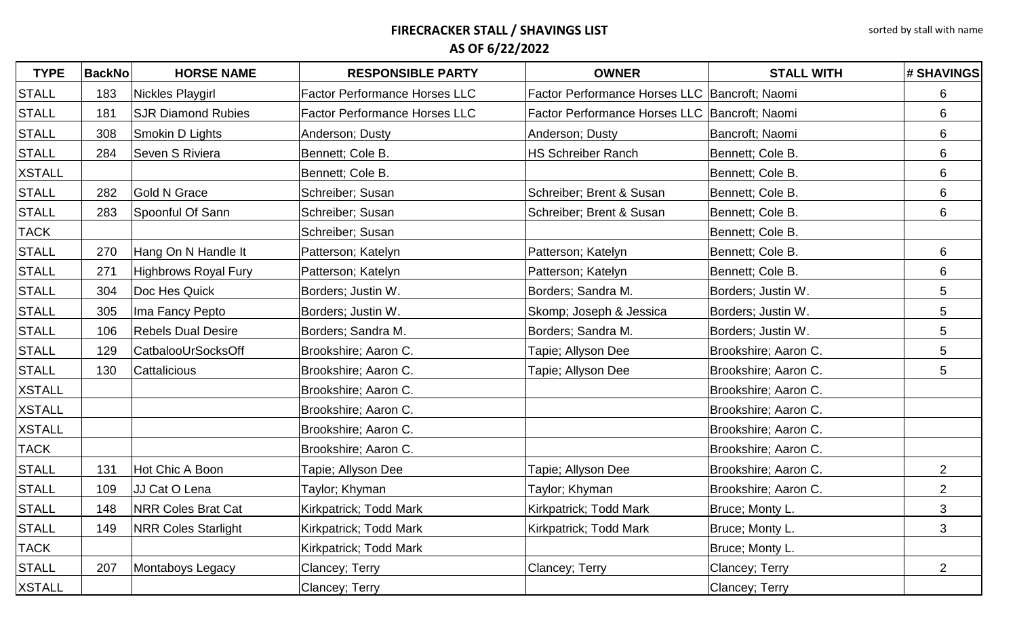| <b>TYPE</b>   | <b>BackNo</b> | <b>HORSE NAME</b>          | <b>RESPONSIBLE PARTY</b>             | <b>OWNER</b>                                    | <b>STALL WITH</b>    | # SHAVINGS      |
|---------------|---------------|----------------------------|--------------------------------------|-------------------------------------------------|----------------------|-----------------|
| <b>STALL</b>  | 183           | Nickles Playgirl           | <b>Factor Performance Horses LLC</b> | Factor Performance Horses LLC   Bancroft; Naomi |                      | 6               |
| <b>STALL</b>  | 181           | <b>SJR Diamond Rubies</b>  | <b>Factor Performance Horses LLC</b> | Factor Performance Horses LLC   Bancroft; Naomi |                      | 6               |
| <b>STALL</b>  | 308           | Smokin D Lights            | Anderson; Dusty                      | Anderson; Dusty                                 | Bancroft; Naomi      | 6               |
| <b>STALL</b>  | 284           | Seven S Riviera            | Bennett; Cole B.                     | <b>HS Schreiber Ranch</b>                       | Bennett; Cole B.     | 6               |
| <b>XSTALL</b> |               |                            | Bennett; Cole B.                     |                                                 | Bennett; Cole B.     | 6               |
| <b>STALL</b>  | 282           | <b>Gold N Grace</b>        | Schreiber; Susan                     | Schreiber; Brent & Susan                        | Bennett; Cole B.     | 6               |
| <b>STALL</b>  | 283           | Spoonful Of Sann           | Schreiber; Susan                     | Schreiber; Brent & Susan                        | Bennett; Cole B.     | 6               |
| <b>TACK</b>   |               |                            | Schreiber; Susan                     |                                                 | Bennett; Cole B.     |                 |
| <b>STALL</b>  | 270           | Hang On N Handle It        | Patterson; Katelyn                   | Patterson; Katelyn                              | Bennett; Cole B.     | 6               |
| <b>STALL</b>  | 271           | Highbrows Royal Fury       | Patterson; Katelyn                   | Patterson; Katelyn                              | Bennett; Cole B.     | 6               |
| <b>STALL</b>  | 304           | Doc Hes Quick              | Borders; Justin W.                   | Borders; Sandra M.                              | Borders; Justin W.   | 5               |
| <b>STALL</b>  | 305           | Ima Fancy Pepto            | Borders; Justin W.                   | Skomp; Joseph & Jessica                         | Borders; Justin W.   | $5\phantom{.0}$ |
| <b>STALL</b>  | 106           | <b>Rebels Dual Desire</b>  | Borders; Sandra M.                   | Borders; Sandra M.                              | Borders; Justin W.   | $5\phantom{.0}$ |
| <b>STALL</b>  | 129           | CatbalooUrSocksOff         | Brookshire; Aaron C.                 | Tapie; Allyson Dee                              | Brookshire; Aaron C. | $5\phantom{.0}$ |
| <b>STALL</b>  | 130           | Cattalicious               | Brookshire; Aaron C.                 | Tapie; Allyson Dee                              | Brookshire; Aaron C. | 5               |
| <b>XSTALL</b> |               |                            | Brookshire; Aaron C.                 |                                                 | Brookshire; Aaron C. |                 |
| <b>XSTALL</b> |               |                            | Brookshire; Aaron C.                 |                                                 | Brookshire; Aaron C. |                 |
| <b>XSTALL</b> |               |                            | Brookshire; Aaron C.                 |                                                 | Brookshire; Aaron C. |                 |
| <b>TACK</b>   |               |                            | Brookshire; Aaron C.                 |                                                 | Brookshire; Aaron C. |                 |
| <b>STALL</b>  | 131           | Hot Chic A Boon            | Tapie; Allyson Dee                   | Tapie; Allyson Dee                              | Brookshire; Aaron C. | $\overline{2}$  |
| <b>STALL</b>  | 109           | JJ Cat O Lena              | Taylor; Khyman                       | Taylor; Khyman                                  | Brookshire; Aaron C. | $\overline{2}$  |
| <b>STALL</b>  | 148           | <b>NRR Coles Brat Cat</b>  | Kirkpatrick; Todd Mark               | Kirkpatrick; Todd Mark                          | Bruce; Monty L.      | 3               |
| <b>STALL</b>  | 149           | <b>NRR Coles Starlight</b> | Kirkpatrick; Todd Mark               | Kirkpatrick; Todd Mark                          | Bruce; Monty L.      | 3               |
| <b>TACK</b>   |               |                            | Kirkpatrick; Todd Mark               |                                                 | Bruce; Monty L.      |                 |
| <b>STALL</b>  | 207           | Montaboys Legacy           | Clancey; Terry                       | Clancey; Terry                                  | Clancey; Terry       | $\overline{2}$  |
| <b>XSTALL</b> |               |                            | Clancey; Terry                       |                                                 | Clancey; Terry       |                 |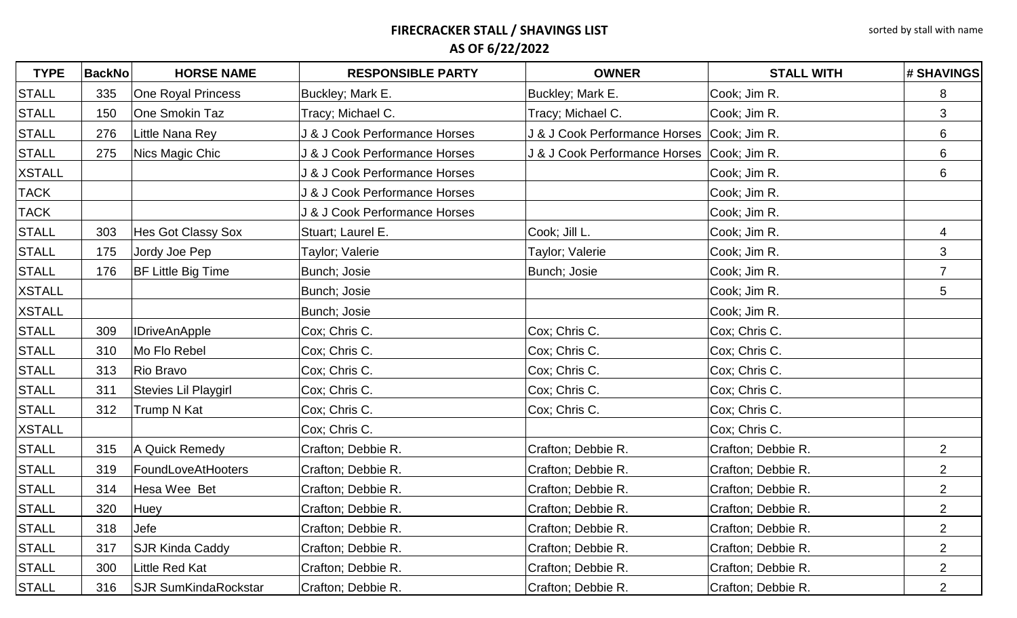| <b>TYPE</b>   | <b>BackNo</b> | <b>HORSE NAME</b>           | <b>RESPONSIBLE PARTY</b>      | <b>OWNER</b>                                 | <b>STALL WITH</b>  | <b># SHAVINGS</b> |
|---------------|---------------|-----------------------------|-------------------------------|----------------------------------------------|--------------------|-------------------|
| <b>STALL</b>  | 335           | One Royal Princess          | Buckley; Mark E.              | Buckley; Mark E.                             | Cook; Jim R.       | 8                 |
| <b>STALL</b>  | 150           | One Smokin Taz              | Tracy; Michael C.             | Tracy; Michael C.                            | Cook; Jim R.       | 3                 |
| <b>STALL</b>  | 276           | Little Nana Rey             | J & J Cook Performance Horses | J & J Cook Performance Horses Cook; Jim R.   |                    | 6                 |
| <b>STALL</b>  | 275           | Nics Magic Chic             | J & J Cook Performance Horses | J & J Cook Performance Horses   Cook; Jim R. |                    | 6                 |
| <b>XSTALL</b> |               |                             | J & J Cook Performance Horses |                                              | Cook; Jim R.       | 6                 |
| <b>TACK</b>   |               |                             | J & J Cook Performance Horses |                                              | Cook; Jim R.       |                   |
| <b>TACK</b>   |               |                             | J & J Cook Performance Horses |                                              | Cook; Jim R.       |                   |
| <b>STALL</b>  | 303           | Hes Got Classy Sox          | Stuart; Laurel E.             | Cook; Jill L.                                | Cook; Jim R.       | 4                 |
| <b>STALL</b>  | 175           | Jordy Joe Pep               | Taylor; Valerie               | Taylor; Valerie                              | Cook; Jim R.       | 3                 |
| <b>STALL</b>  | 176           | <b>BF Little Big Time</b>   | Bunch; Josie                  | Bunch; Josie                                 | Cook; Jim R.       | $\overline{7}$    |
| <b>XSTALL</b> |               |                             | Bunch; Josie                  |                                              | Cook; Jim R.       | 5                 |
| <b>XSTALL</b> |               |                             | Bunch; Josie                  |                                              | Cook; Jim R.       |                   |
| <b>STALL</b>  | 309           | <b>IDriveAnApple</b>        | Cox; Chris C.                 | Cox; Chris C.                                | Cox; Chris C.      |                   |
| <b>STALL</b>  | 310           | Mo Flo Rebel                | Cox; Chris C.                 | Cox; Chris C.                                | Cox; Chris C.      |                   |
| <b>STALL</b>  | 313           | Rio Bravo                   | Cox; Chris C.                 | Cox; Chris C.                                | Cox; Chris C.      |                   |
| <b>STALL</b>  | 311           | Stevies Lil Playgirl        | Cox; Chris C.                 | Cox; Chris C.                                | Cox; Chris C.      |                   |
| <b>STALL</b>  | 312           | Trump N Kat                 | Cox; Chris C.                 | Cox; Chris C.                                | Cox; Chris C.      |                   |
| <b>XSTALL</b> |               |                             | Cox; Chris C.                 |                                              | Cox; Chris C.      |                   |
| <b>STALL</b>  | 315           | A Quick Remedy              | Crafton; Debbie R.            | Crafton; Debbie R.                           | Crafton; Debbie R. | $\overline{2}$    |
| <b>STALL</b>  | 319           | FoundLoveAtHooters          | Crafton; Debbie R.            | Crafton; Debbie R.                           | Crafton; Debbie R. | $\overline{2}$    |
| <b>STALL</b>  | 314           | Hesa Wee Bet                | Crafton; Debbie R.            | Crafton; Debbie R.                           | Crafton; Debbie R. | $\overline{2}$    |
| <b>STALL</b>  | 320           | Huey                        | Crafton; Debbie R.            | Crafton; Debbie R.                           | Crafton; Debbie R. | $\overline{2}$    |
| <b>STALL</b>  | 318           | Jefe                        | Crafton; Debbie R.            | Crafton; Debbie R.                           | Crafton; Debbie R. | $\overline{2}$    |
| <b>STALL</b>  | 317           | <b>SJR Kinda Caddy</b>      | Crafton; Debbie R.            | Crafton; Debbie R.                           | Crafton; Debbie R. | $\overline{2}$    |
| <b>STALL</b>  | 300           | Little Red Kat              | Crafton; Debbie R.            | Crafton; Debbie R.                           | Crafton; Debbie R. | $\overline{2}$    |
| <b>STALL</b>  | 316           | <b>SJR SumKindaRockstar</b> | Crafton; Debbie R.            | Crafton; Debbie R.                           | Crafton; Debbie R. | $\overline{2}$    |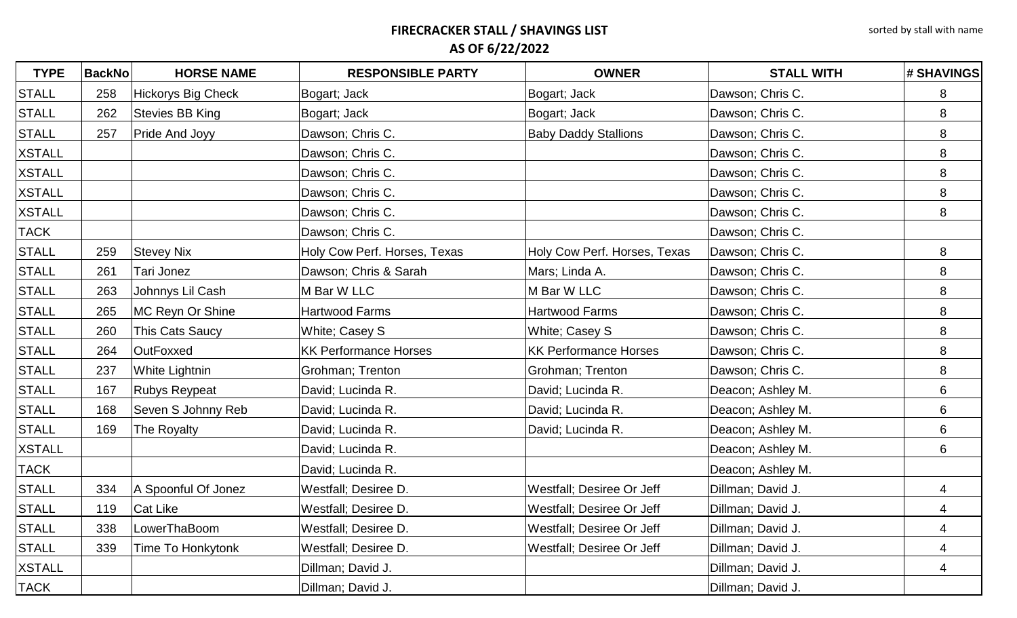| <b>TYPE</b>   | <b>BackNo</b> | <b>HORSE NAME</b>         | <b>RESPONSIBLE PARTY</b>     | <b>OWNER</b>                 | <b>STALL WITH</b> | <b># SHAVINGS</b> |
|---------------|---------------|---------------------------|------------------------------|------------------------------|-------------------|-------------------|
| <b>STALL</b>  | 258           | <b>Hickorys Big Check</b> | Bogart; Jack                 | Bogart; Jack                 | Dawson; Chris C.  | 8                 |
| <b>STALL</b>  | 262           | <b>Stevies BB King</b>    | Bogart; Jack                 | Bogart; Jack                 | Dawson; Chris C.  | 8                 |
| <b>STALL</b>  | 257           | Pride And Joyy            | Dawson; Chris C.             | <b>Baby Daddy Stallions</b>  | Dawson; Chris C.  | 8                 |
| <b>XSTALL</b> |               |                           | Dawson; Chris C.             |                              | Dawson; Chris C.  | 8                 |
| <b>XSTALL</b> |               |                           | Dawson; Chris C.             |                              | Dawson; Chris C.  | 8                 |
| <b>XSTALL</b> |               |                           | Dawson; Chris C.             |                              | Dawson; Chris C.  | 8                 |
| <b>XSTALL</b> |               |                           | Dawson; Chris C.             |                              | Dawson; Chris C.  | 8                 |
| <b>TACK</b>   |               |                           | Dawson; Chris C.             |                              | Dawson; Chris C.  |                   |
| <b>STALL</b>  | 259           | <b>Stevey Nix</b>         | Holy Cow Perf. Horses, Texas | Holy Cow Perf. Horses, Texas | Dawson; Chris C.  | 8                 |
| <b>STALL</b>  | 261           | Tari Jonez                | Dawson; Chris & Sarah        | Mars; Linda A.               | Dawson; Chris C.  | 8                 |
| <b>STALL</b>  | 263           | Johnnys Lil Cash          | M Bar W LLC                  | M Bar W LLC                  | Dawson; Chris C.  | 8                 |
| <b>STALL</b>  | 265           | MC Reyn Or Shine          | <b>Hartwood Farms</b>        | <b>Hartwood Farms</b>        | Dawson; Chris C.  | 8                 |
| <b>STALL</b>  | 260           | This Cats Saucy           | White; Casey S               | White; Casey S               | Dawson; Chris C.  | 8                 |
| <b>STALL</b>  | 264           | <b>OutFoxxed</b>          | <b>KK Performance Horses</b> | <b>KK Performance Horses</b> | Dawson; Chris C.  | 8                 |
| <b>STALL</b>  | 237           | <b>White Lightnin</b>     | Grohman; Trenton             | Grohman; Trenton             | Dawson; Chris C.  | 8                 |
| <b>STALL</b>  | 167           | <b>Rubys Reypeat</b>      | David; Lucinda R.            | David; Lucinda R.            | Deacon; Ashley M. | 6                 |
| <b>STALL</b>  | 168           | Seven S Johnny Reb        | David; Lucinda R.            | David; Lucinda R.            | Deacon; Ashley M. | 6                 |
| <b>STALL</b>  | 169           | The Royalty               | David; Lucinda R.            | David; Lucinda R.            | Deacon; Ashley M. | 6                 |
| <b>XSTALL</b> |               |                           | David; Lucinda R.            |                              | Deacon; Ashley M. | 6                 |
| <b>TACK</b>   |               |                           | David; Lucinda R.            |                              | Deacon; Ashley M. |                   |
| <b>STALL</b>  | 334           | A Spoonful Of Jonez       | Westfall; Desiree D.         | Westfall; Desiree Or Jeff    | Dillman; David J. | 4                 |
| <b>STALL</b>  | 119           | Cat Like                  | Westfall; Desiree D.         | Westfall; Desiree Or Jeff    | Dillman; David J. | 4                 |
| <b>STALL</b>  | 338           | LowerThaBoom              | Westfall; Desiree D.         | Westfall; Desiree Or Jeff    | Dillman; David J. | 4                 |
| <b>STALL</b>  | 339           | Time To Honkytonk         | Westfall; Desiree D.         | Westfall; Desiree Or Jeff    | Dillman; David J. | 4                 |
| <b>XSTALL</b> |               |                           | Dillman; David J.            |                              | Dillman; David J. | 4                 |
| <b>TACK</b>   |               |                           | Dillman; David J.            |                              | Dillman; David J. |                   |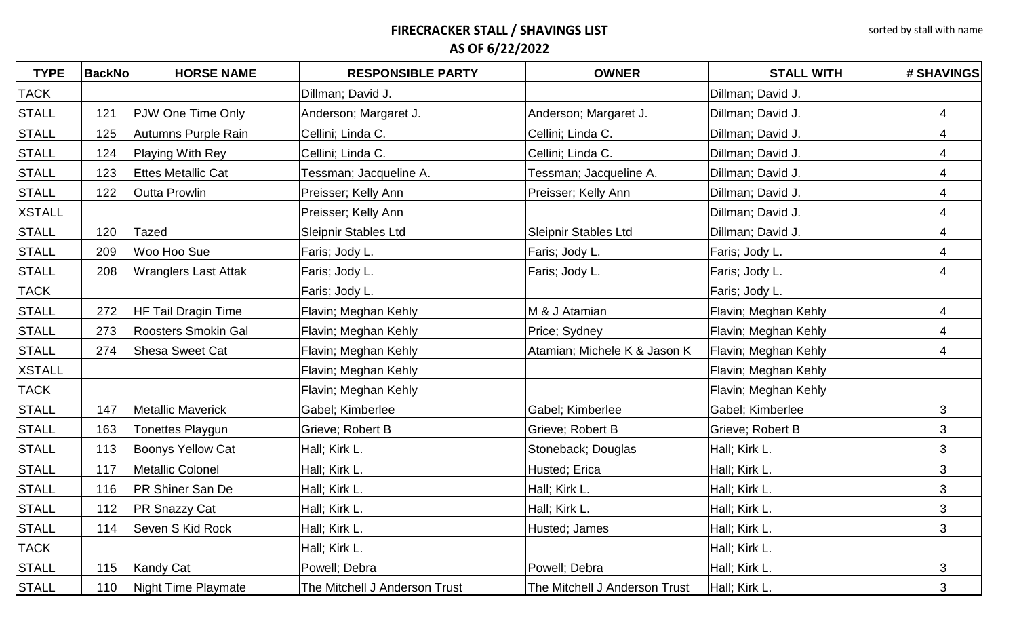| <b>TYPE</b>   | <b>BackNo</b> | <b>HORSE NAME</b>           | <b>RESPONSIBLE PARTY</b>      | <b>OWNER</b>                  | <b>STALL WITH</b>    | # SHAVINGS                |
|---------------|---------------|-----------------------------|-------------------------------|-------------------------------|----------------------|---------------------------|
| <b>TACK</b>   |               |                             | Dillman; David J.             |                               | Dillman; David J.    |                           |
| <b>STALL</b>  | 121           | PJW One Time Only           | Anderson; Margaret J.         | Anderson; Margaret J.         | Dillman; David J.    | $\overline{4}$            |
| <b>STALL</b>  | 125           | Autumns Purple Rain         | Cellini; Linda C.             | Cellini; Linda C.             | Dillman; David J.    | 4                         |
| <b>STALL</b>  | 124           | Playing With Rey            | Cellini; Linda C.             | Cellini; Linda C.             | Dillman; David J.    | 4                         |
| <b>STALL</b>  | 123           | <b>Ettes Metallic Cat</b>   | Tessman; Jacqueline A.        | Tessman; Jacqueline A.        | Dillman; David J.    | 4                         |
| <b>STALL</b>  | 122           | <b>Outta Prowlin</b>        | Preisser; Kelly Ann           | Preisser; Kelly Ann           | Dillman; David J.    | $\overline{4}$            |
| <b>XSTALL</b> |               |                             | Preisser; Kelly Ann           |                               | Dillman; David J.    | 4                         |
| <b>STALL</b>  | 120           | <b>Tazed</b>                | Sleipnir Stables Ltd          | Sleipnir Stables Ltd          | Dillman; David J.    | 4                         |
| <b>STALL</b>  | 209           | Woo Hoo Sue                 | Faris; Jody L.                | Faris; Jody L.                | Faris; Jody L.       | 4                         |
| <b>STALL</b>  | 208           | <b>Wranglers Last Attak</b> | Faris; Jody L.                | Faris; Jody L.                | Faris; Jody L.       | $\overline{4}$            |
| <b>TACK</b>   |               |                             | Faris; Jody L.                |                               | Faris; Jody L.       |                           |
| <b>STALL</b>  | 272           | HF Tail Dragin Time         | Flavin; Meghan Kehly          | M & J Atamian                 | Flavin; Meghan Kehly | 4                         |
| <b>STALL</b>  | 273           | <b>Roosters Smokin Gal</b>  | Flavin; Meghan Kehly          | Price; Sydney                 | Flavin; Meghan Kehly | 4                         |
| <b>STALL</b>  | 274           | Shesa Sweet Cat             | Flavin; Meghan Kehly          | Atamian; Michele K & Jason K  | Flavin; Meghan Kehly | 4                         |
| <b>XSTALL</b> |               |                             | Flavin; Meghan Kehly          |                               | Flavin; Meghan Kehly |                           |
| <b>TACK</b>   |               |                             | Flavin; Meghan Kehly          |                               | Flavin; Meghan Kehly |                           |
| <b>STALL</b>  | 147           | <b>Metallic Maverick</b>    | Gabel; Kimberlee              | Gabel; Kimberlee              | Gabel; Kimberlee     | 3                         |
| <b>STALL</b>  | 163           | Tonettes Playgun            | Grieve; Robert B              | Grieve; Robert B              | Grieve; Robert B     | 3                         |
| <b>STALL</b>  | 113           | <b>Boonys Yellow Cat</b>    | Hall; Kirk L.                 | Stoneback; Douglas            | Hall; Kirk L.        | $\mathfrak{S}$            |
| <b>STALL</b>  | 117           | Metallic Colonel            | Hall; Kirk L.                 | Husted; Erica                 | Hall; Kirk L.        | $\mathfrak{S}$            |
| <b>STALL</b>  | 116           | <b>PR Shiner San De</b>     | Hall; Kirk L.                 | Hall; Kirk L.                 | Hall; Kirk L.        | $\mathfrak{S}$            |
| <b>STALL</b>  | 112           | <b>PR Snazzy Cat</b>        | Hall; Kirk L.                 | Hall; Kirk L.                 | Hall; Kirk L.        | $\mathfrak{S}$            |
| <b>STALL</b>  | 114           | Seven S Kid Rock            | Hall; Kirk L.                 | Husted; James                 | Hall; Kirk L.        | $\ensuremath{\mathsf{3}}$ |
| <b>TACK</b>   |               |                             | Hall; Kirk L.                 |                               | Hall; Kirk L.        |                           |
| <b>STALL</b>  | 115           | Kandy Cat                   | Powell; Debra                 | Powell; Debra                 | Hall; Kirk L.        | $\mathfrak{B}$            |
| <b>STALL</b>  | 110           | Night Time Playmate         | The Mitchell J Anderson Trust | The Mitchell J Anderson Trust | Hall; Kirk L.        | 3                         |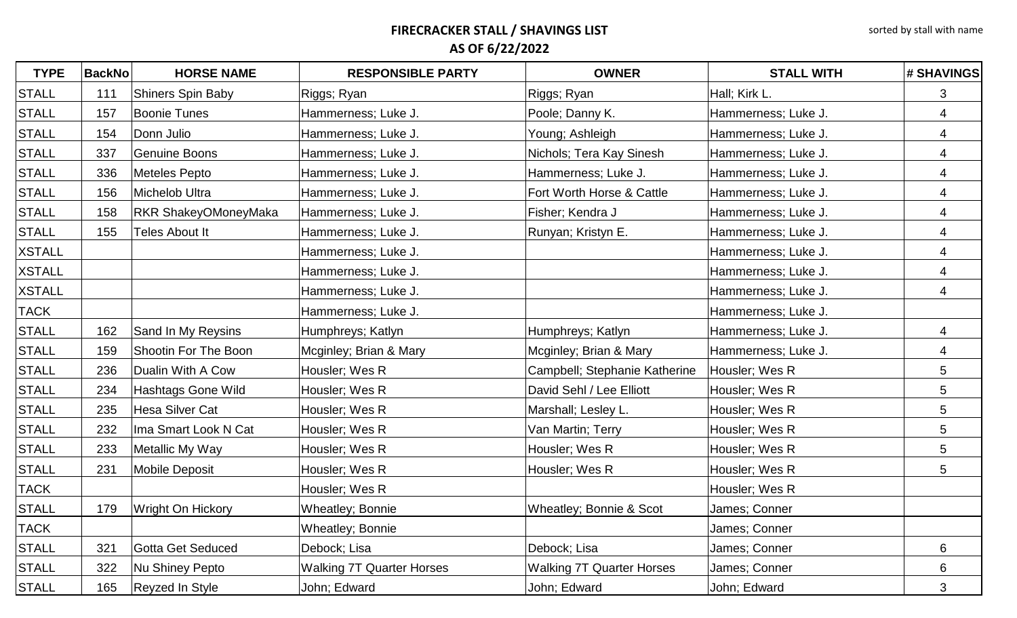| <b>TYPE</b>   | <b>BackNo</b> | <b>HORSE NAME</b>           | <b>RESPONSIBLE PARTY</b>         | <b>OWNER</b>                     | <b>STALL WITH</b>   | <b># SHAVINGS</b>        |
|---------------|---------------|-----------------------------|----------------------------------|----------------------------------|---------------------|--------------------------|
| <b>STALL</b>  | 111           | <b>Shiners Spin Baby</b>    | Riggs; Ryan                      | Riggs; Ryan                      | Hall; Kirk L.       | 3                        |
| <b>STALL</b>  | 157           | <b>Boonie Tunes</b>         | Hammerness; Luke J.              | Poole; Danny K.                  | Hammerness; Luke J. | 4                        |
| <b>STALL</b>  | 154           | Donn Julio                  | Hammerness; Luke J.              | Young; Ashleigh                  | Hammerness; Luke J. | 4                        |
| <b>STALL</b>  | 337           | <b>Genuine Boons</b>        | Hammerness; Luke J.              | Nichols; Tera Kay Sinesh         | Hammerness; Luke J. | 4                        |
| <b>STALL</b>  | 336           | Meteles Pepto               | Hammerness; Luke J.              | Hammerness; Luke J.              | Hammerness; Luke J. | $\overline{\mathcal{A}}$ |
| <b>STALL</b>  | 156           | Michelob Ultra              | Hammerness; Luke J.              | Fort Worth Horse & Cattle        | Hammerness; Luke J. | 4                        |
| <b>STALL</b>  | 158           | <b>RKR ShakeyOMoneyMaka</b> | Hammerness; Luke J.              | Fisher; Kendra J                 | Hammerness; Luke J. | 4                        |
| <b>STALL</b>  | 155           | Teles About It              | Hammerness; Luke J.              | Runyan; Kristyn E.               | Hammerness; Luke J. | 4                        |
| <b>XSTALL</b> |               |                             | Hammerness; Luke J.              |                                  | Hammerness; Luke J. | 4                        |
| <b>XSTALL</b> |               |                             | Hammerness; Luke J.              |                                  | Hammerness; Luke J. | 4                        |
| <b>XSTALL</b> |               |                             | Hammerness; Luke J.              |                                  | Hammerness; Luke J. | $\overline{4}$           |
| <b>TACK</b>   |               |                             | Hammerness; Luke J.              |                                  | Hammerness; Luke J. |                          |
| <b>STALL</b>  | 162           | Sand In My Reysins          | Humphreys; Katlyn                | Humphreys; Katlyn                | Hammerness; Luke J. | 4                        |
| <b>STALL</b>  | 159           | Shootin For The Boon        | Mcginley; Brian & Mary           | Mcginley; Brian & Mary           | Hammerness; Luke J. | 4                        |
| <b>STALL</b>  | 236           | Dualin With A Cow           | Housler; Wes R                   | Campbell; Stephanie Katherine    | Housler; Wes R      | 5                        |
| <b>STALL</b>  | 234           | Hashtags Gone Wild          | Housler; Wes R                   | David Sehl / Lee Elliott         | Housler; Wes R      | 5                        |
| <b>STALL</b>  | 235           | <b>Hesa Silver Cat</b>      | Housler; Wes R                   | Marshall; Lesley L.              | Housler; Wes R      | 5                        |
| <b>STALL</b>  | 232           | Ima Smart Look N Cat        | Housler; Wes R                   | Van Martin; Terry                | Housler; Wes R      | 5                        |
| <b>STALL</b>  | 233           | Metallic My Way             | Housler; Wes R                   | Housler; Wes R                   | Housler; Wes R      | 5                        |
| <b>STALL</b>  | 231           | <b>Mobile Deposit</b>       | Housler; Wes R                   | Housler; Wes R                   | Housler; Wes R      | 5                        |
| <b>TACK</b>   |               |                             | Housler; Wes R                   |                                  | Housler; Wes R      |                          |
| <b>STALL</b>  | 179           | <b>Wright On Hickory</b>    | Wheatley; Bonnie                 | Wheatley; Bonnie & Scot          | James; Conner       |                          |
| <b>TACK</b>   |               |                             | <b>Wheatley; Bonnie</b>          |                                  | James; Conner       |                          |
| <b>STALL</b>  | 321           | Gotta Get Seduced           | Debock; Lisa                     | Debock; Lisa                     | James; Conner       | 6                        |
| <b>STALL</b>  | 322           | Nu Shiney Pepto             | <b>Walking 7T Quarter Horses</b> | <b>Walking 7T Quarter Horses</b> | James; Conner       | 6                        |
| <b>STALL</b>  | 165           | Reyzed In Style             | John; Edward                     | John; Edward                     | John; Edward        | 3                        |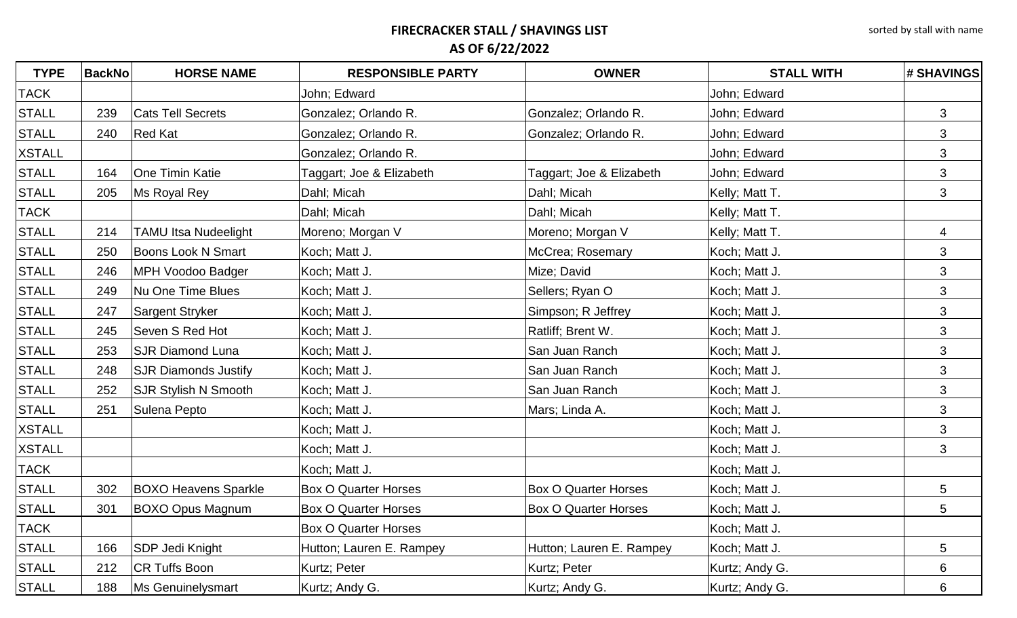| <b>TYPE</b>   | <b>BackNo</b> | <b>HORSE NAME</b>           | <b>RESPONSIBLE PARTY</b>    | <b>OWNER</b>                | <b>STALL WITH</b> | # SHAVINGS      |
|---------------|---------------|-----------------------------|-----------------------------|-----------------------------|-------------------|-----------------|
| <b>TACK</b>   |               |                             | John; Edward                |                             | John; Edward      |                 |
| <b>STALL</b>  | 239           | <b>Cats Tell Secrets</b>    | Gonzalez; Orlando R.        | Gonzalez; Orlando R.        | John; Edward      | 3               |
| <b>STALL</b>  | 240           | <b>Red Kat</b>              | Gonzalez; Orlando R.        | Gonzalez; Orlando R.        | John; Edward      | 3               |
| <b>XSTALL</b> |               |                             | Gonzalez; Orlando R.        |                             | John; Edward      | $\mathfrak{B}$  |
| <b>STALL</b>  | 164           | <b>One Timin Katie</b>      | Taggart; Joe & Elizabeth    | Taggart; Joe & Elizabeth    | John; Edward      | $\mathfrak{S}$  |
| <b>STALL</b>  | 205           | Ms Royal Rey                | Dahl; Micah                 | Dahl; Micah                 | Kelly; Matt T.    | 3               |
| <b>TACK</b>   |               |                             | Dahl; Micah                 | Dahl; Micah                 | Kelly; Matt T.    |                 |
| <b>STALL</b>  | 214           | <b>TAMU Itsa Nudeelight</b> | Moreno; Morgan V            | Moreno; Morgan V            | Kelly; Matt T.    | 4               |
| <b>STALL</b>  | 250           | <b>Boons Look N Smart</b>   | Koch; Matt J.               | McCrea; Rosemary            | Koch; Matt J.     | 3               |
| <b>STALL</b>  | 246           | MPH Voodoo Badger           | Koch; Matt J.               | Mize; David                 | Koch; Matt J.     | $\mathfrak{S}$  |
| <b>STALL</b>  | 249           | Nu One Time Blues           | Koch; Matt J.               | Sellers; Ryan O             | Koch; Matt J.     | 3               |
| <b>STALL</b>  | 247           | Sargent Stryker             | Koch; Matt J.               | Simpson; R Jeffrey          | Koch; Matt J.     | 3               |
| <b>STALL</b>  | 245           | Seven S Red Hot             | Koch; Matt J.               | Ratliff; Brent W.           | Koch; Matt J.     | 3               |
| <b>STALL</b>  | 253           | <b>SJR Diamond Luna</b>     | Koch; Matt J.               | San Juan Ranch              | Koch; Matt J.     | 3               |
| <b>STALL</b>  | 248           | <b>SJR Diamonds Justify</b> | Koch; Matt J.               | San Juan Ranch              | Koch; Matt J.     | 3               |
| <b>STALL</b>  | 252           | <b>SJR Stylish N Smooth</b> | Koch; Matt J.               | San Juan Ranch              | Koch; Matt J.     | $\mathfrak{S}$  |
| <b>STALL</b>  | 251           | Sulena Pepto                | Koch; Matt J.               | Mars; Linda A.              | Koch; Matt J.     | 3               |
| <b>XSTALL</b> |               |                             | Koch; Matt J.               |                             | Koch; Matt J.     | 3               |
| <b>XSTALL</b> |               |                             | Koch; Matt J.               |                             | Koch; Matt J.     | 3               |
| <b>TACK</b>   |               |                             | Koch; Matt J.               |                             | Koch; Matt J.     |                 |
| <b>STALL</b>  | 302           | <b>BOXO Heavens Sparkle</b> | <b>Box O Quarter Horses</b> | <b>Box O Quarter Horses</b> | Koch; Matt J.     | $5\phantom{.0}$ |
| <b>STALL</b>  | 301           | <b>BOXO Opus Magnum</b>     | <b>Box O Quarter Horses</b> | <b>Box O Quarter Horses</b> | Koch; Matt J.     | 5               |
| <b>TACK</b>   |               |                             | <b>Box O Quarter Horses</b> |                             | Koch; Matt J.     |                 |
| <b>STALL</b>  | 166           | SDP Jedi Knight             | Hutton; Lauren E. Rampey    | Hutton; Lauren E. Rampey    | Koch; Matt J.     | 5               |
| <b>STALL</b>  | 212           | <b>CR Tuffs Boon</b>        | Kurtz; Peter                | Kurtz; Peter                | Kurtz; Andy G.    | 6               |
| <b>STALL</b>  | 188           | Ms Genuinelysmart           | Kurtz; Andy G.              | Kurtz; Andy G.              | Kurtz; Andy G.    | 6               |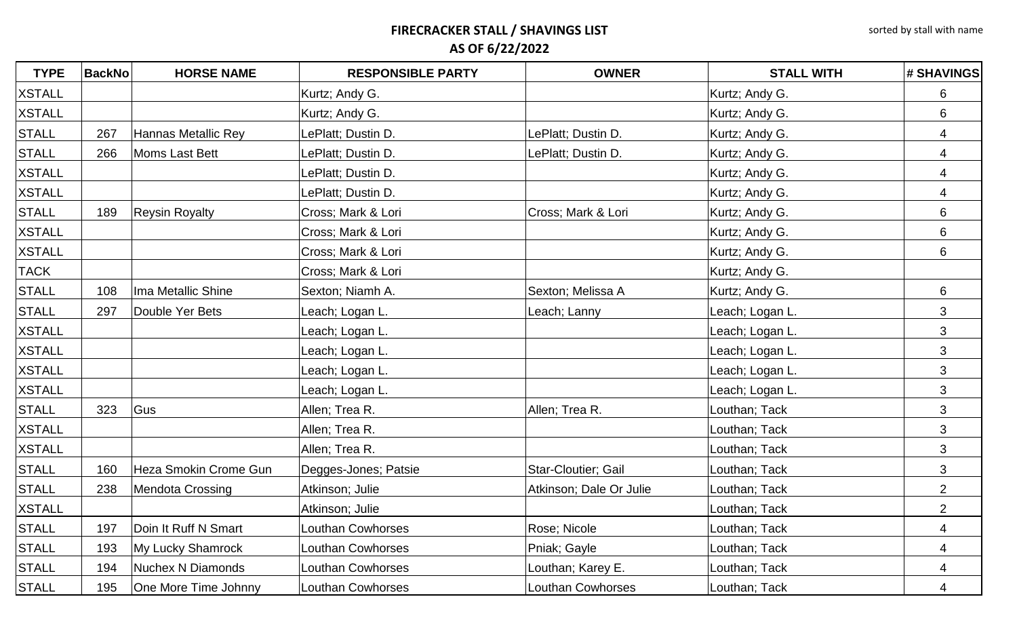| <b>TYPE</b>   | <b>BackNo</b> | <b>HORSE NAME</b>            | <b>RESPONSIBLE PARTY</b> | <b>OWNER</b>            | <b>STALL WITH</b> | # SHAVINGS     |
|---------------|---------------|------------------------------|--------------------------|-------------------------|-------------------|----------------|
| <b>XSTALL</b> |               |                              | Kurtz; Andy G.           |                         | Kurtz; Andy G.    | 6              |
| <b>XSTALL</b> |               |                              | Kurtz; Andy G.           |                         | Kurtz; Andy G.    | 6              |
| <b>STALL</b>  | 267           | <b>Hannas Metallic Rey</b>   | LePlatt; Dustin D.       | LePlatt; Dustin D.      | Kurtz; Andy G.    | 4              |
| <b>STALL</b>  | 266           | Moms Last Bett               | LePlatt; Dustin D.       | LePlatt; Dustin D.      | Kurtz; Andy G.    | 4              |
| <b>XSTALL</b> |               |                              | LePlatt; Dustin D.       |                         | Kurtz; Andy G.    | $\overline{4}$ |
| <b>XSTALL</b> |               |                              | LePlatt; Dustin D.       |                         | Kurtz; Andy G.    | 4              |
| <b>STALL</b>  | 189           | <b>Reysin Royalty</b>        | Cross; Mark & Lori       | Cross; Mark & Lori      | Kurtz; Andy G.    | 6              |
| <b>XSTALL</b> |               |                              | Cross; Mark & Lori       |                         | Kurtz; Andy G.    | 6              |
| <b>XSTALL</b> |               |                              | Cross; Mark & Lori       |                         | Kurtz; Andy G.    | 6              |
| <b>TACK</b>   |               |                              | Cross; Mark & Lori       |                         | Kurtz; Andy G.    |                |
| <b>STALL</b>  | 108           | Ima Metallic Shine           | Sexton; Niamh A.         | Sexton; Melissa A       | Kurtz; Andy G.    | 6              |
| <b>STALL</b>  | 297           | Double Yer Bets              | Leach; Logan L.          | Leach; Lanny            | Leach; Logan L.   | 3              |
| <b>XSTALL</b> |               |                              | Leach; Logan L.          |                         | Leach; Logan L.   | 3              |
| <b>XSTALL</b> |               |                              | Leach; Logan L.          |                         | Leach; Logan L.   | 3              |
| <b>XSTALL</b> |               |                              | Leach; Logan L.          |                         | Leach; Logan L.   | 3              |
| <b>XSTALL</b> |               |                              | Leach; Logan L.          |                         | Leach; Logan L.   | 3              |
| <b>STALL</b>  | 323           | Gus                          | Allen; Trea R.           | Allen; Trea R.          | Louthan; Tack     | 3              |
| <b>XSTALL</b> |               |                              | Allen; Trea R.           |                         | Louthan; Tack     | 3              |
| <b>XSTALL</b> |               |                              | Allen; Trea R.           |                         | Louthan; Tack     | 3              |
| <b>STALL</b>  | 160           | <b>Heza Smokin Crome Gun</b> | Degges-Jones; Patsie     | Star-Cloutier; Gail     | Louthan; Tack     | 3              |
| <b>STALL</b>  | 238           | Mendota Crossing             | Atkinson; Julie          | Atkinson; Dale Or Julie | Louthan; Tack     | $\overline{2}$ |
| <b>XSTALL</b> |               |                              | Atkinson; Julie          |                         | Louthan; Tack     | $\overline{2}$ |
| <b>STALL</b>  | 197           | Doin It Ruff N Smart         | <b>Louthan Cowhorses</b> | Rose; Nicole            | Louthan; Tack     | 4              |
| <b>STALL</b>  | 193           | My Lucky Shamrock            | <b>Louthan Cowhorses</b> | Pniak; Gayle            | Louthan; Tack     | 4              |
| <b>STALL</b>  | 194           | <b>Nuchex N Diamonds</b>     | <b>Louthan Cowhorses</b> | Louthan; Karey E.       | Louthan; Tack     | 4              |
| <b>STALL</b>  | 195           | One More Time Johnny         | Louthan Cowhorses        | Louthan Cowhorses       | Louthan; Tack     | 4              |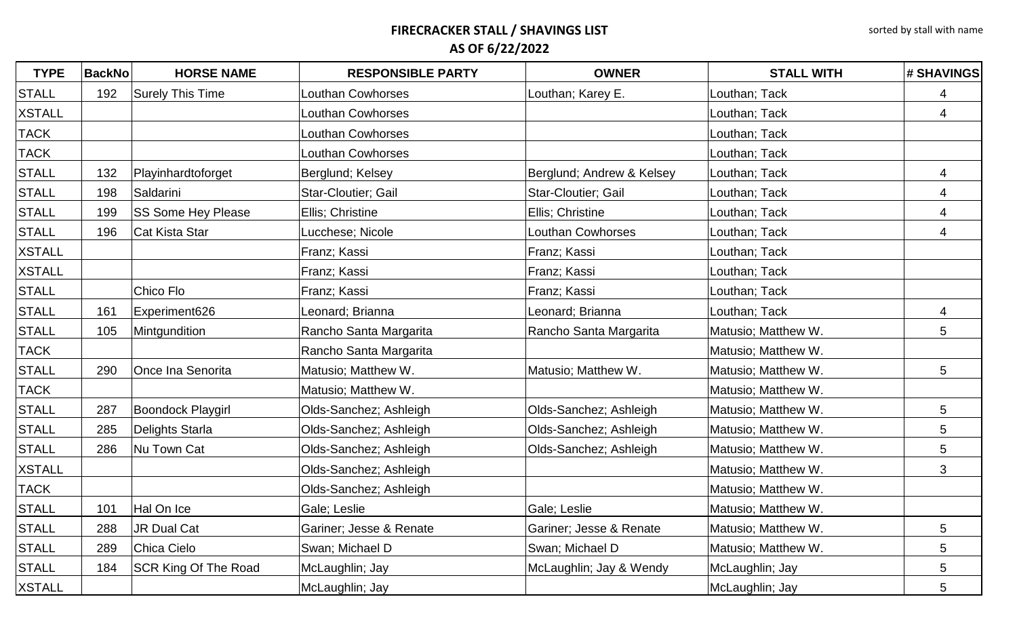| <b>TYPE</b>   | <b>BackNo</b> | <b>HORSE NAME</b>           | <b>RESPONSIBLE PARTY</b> | <b>OWNER</b>              | <b>STALL WITH</b>   | # SHAVINGS      |
|---------------|---------------|-----------------------------|--------------------------|---------------------------|---------------------|-----------------|
| <b>STALL</b>  | 192           | Surely This Time            | <b>Louthan Cowhorses</b> | Louthan; Karey E.         | Louthan; Tack       | 4               |
| <b>XSTALL</b> |               |                             | <b>Louthan Cowhorses</b> |                           | Louthan; Tack       | 4               |
| <b>TACK</b>   |               |                             | Louthan Cowhorses        |                           | Louthan; Tack       |                 |
| <b>TACK</b>   |               |                             | Louthan Cowhorses        |                           | Louthan; Tack       |                 |
| <b>STALL</b>  | 132           | Playinhardtoforget          | Berglund; Kelsey         | Berglund; Andrew & Kelsey | Louthan; Tack       | 4               |
| <b>STALL</b>  | 198           | Saldarini                   | Star-Cloutier; Gail      | Star-Cloutier; Gail       | Louthan; Tack       | 4               |
| <b>STALL</b>  | 199           | <b>SS Some Hey Please</b>   | Ellis; Christine         | Ellis; Christine          | Louthan; Tack       | $\overline{4}$  |
| <b>STALL</b>  | 196           | Cat Kista Star              | Lucchese; Nicole         | <b>Louthan Cowhorses</b>  | Louthan; Tack       | $\overline{4}$  |
| <b>XSTALL</b> |               |                             | Franz; Kassi             | Franz; Kassi              | Louthan; Tack       |                 |
| <b>XSTALL</b> |               |                             | Franz; Kassi             | Franz; Kassi              | Louthan; Tack       |                 |
| <b>STALL</b>  |               | Chico Flo                   | Franz; Kassi             | Franz; Kassi              | Louthan; Tack       |                 |
| <b>STALL</b>  | 161           | Experiment626               | Leonard; Brianna         | Leonard; Brianna          | Louthan; Tack       | 4               |
| <b>STALL</b>  | 105           | Mintgundition               | Rancho Santa Margarita   | Rancho Santa Margarita    | Matusio; Matthew W. | $5\overline{)}$ |
| <b>TACK</b>   |               |                             | Rancho Santa Margarita   |                           | Matusio; Matthew W. |                 |
| <b>STALL</b>  | 290           | Once Ina Senorita           | Matusio; Matthew W.      | Matusio; Matthew W.       | Matusio; Matthew W. | 5               |
| <b>TACK</b>   |               |                             | Matusio; Matthew W.      |                           | Matusio; Matthew W. |                 |
| <b>STALL</b>  | 287           | Boondock Playgirl           | Olds-Sanchez; Ashleigh   | Olds-Sanchez; Ashleigh    | Matusio; Matthew W. | $5\phantom{.0}$ |
| <b>STALL</b>  | 285           | Delights Starla             | Olds-Sanchez; Ashleigh   | Olds-Sanchez; Ashleigh    | Matusio; Matthew W. | 5               |
| <b>STALL</b>  | 286           | Nu Town Cat                 | Olds-Sanchez; Ashleigh   | Olds-Sanchez; Ashleigh    | Matusio; Matthew W. | 5               |
| <b>XSTALL</b> |               |                             | Olds-Sanchez; Ashleigh   |                           | Matusio; Matthew W. | 3               |
| <b>TACK</b>   |               |                             | Olds-Sanchez; Ashleigh   |                           | Matusio; Matthew W. |                 |
| <b>STALL</b>  | 101           | Hal On Ice                  | Gale; Leslie             | Gale; Leslie              | Matusio; Matthew W. |                 |
| <b>STALL</b>  | 288           | JR Dual Cat                 | Gariner; Jesse & Renate  | Gariner; Jesse & Renate   | Matusio; Matthew W. | 5               |
| <b>STALL</b>  | 289           | Chica Cielo                 | Swan; Michael D          | Swan; Michael D           | Matusio; Matthew W. | 5               |
| <b>STALL</b>  | 184           | <b>SCR King Of The Road</b> | McLaughlin; Jay          | McLaughlin; Jay & Wendy   | McLaughlin; Jay     | 5               |
| <b>XSTALL</b> |               |                             | McLaughlin; Jay          |                           | McLaughlin; Jay     | 5               |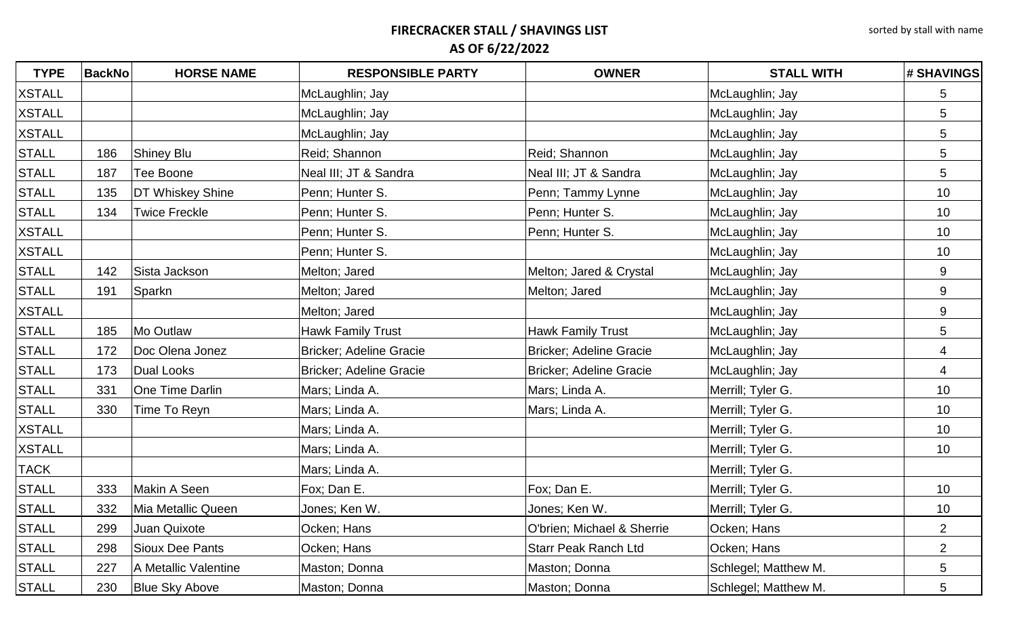| <b>TYPE</b>   | <b>BackNo</b> | <b>HORSE NAME</b>       | <b>RESPONSIBLE PARTY</b>       | <b>OWNER</b>                   | <b>STALL WITH</b>    | # SHAVINGS      |
|---------------|---------------|-------------------------|--------------------------------|--------------------------------|----------------------|-----------------|
| <b>XSTALL</b> |               |                         | McLaughlin; Jay                |                                | McLaughlin; Jay      | 5               |
| <b>XSTALL</b> |               |                         | McLaughlin; Jay                |                                | McLaughlin; Jay      | $5\phantom{.0}$ |
| <b>XSTALL</b> |               |                         | McLaughlin; Jay                |                                | McLaughlin; Jay      | 5               |
| <b>STALL</b>  | 186           | Shiney Blu              | Reid; Shannon                  | Reid; Shannon                  | McLaughlin; Jay      | $5\phantom{.0}$ |
| <b>STALL</b>  | 187           | Tee Boone               | Neal III; JT & Sandra          | Neal III; JT & Sandra          | McLaughlin; Jay      | $5\phantom{.0}$ |
| <b>STALL</b>  | 135           | <b>DT Whiskey Shine</b> | Penn; Hunter S.                | Penn; Tammy Lynne              | McLaughlin; Jay      | 10              |
| <b>STALL</b>  | 134           | <b>Twice Freckle</b>    | Penn; Hunter S.                | Penn; Hunter S.                | McLaughlin; Jay      | 10              |
| <b>XSTALL</b> |               |                         | Penn; Hunter S.                | Penn; Hunter S.                | McLaughlin; Jay      | 10              |
| <b>XSTALL</b> |               |                         | Penn; Hunter S.                |                                | McLaughlin; Jay      | 10              |
| <b>STALL</b>  | 142           | Sista Jackson           | Melton; Jared                  | Melton; Jared & Crystal        | McLaughlin; Jay      | 9               |
| <b>STALL</b>  | 191           | Sparkn                  | Melton; Jared                  | Melton; Jared                  | McLaughlin; Jay      | 9               |
| <b>XSTALL</b> |               |                         | Melton; Jared                  |                                | McLaughlin; Jay      | 9               |
| <b>STALL</b>  | 185           | Mo Outlaw               | Hawk Family Trust              | <b>Hawk Family Trust</b>       | McLaughlin; Jay      | 5               |
| <b>STALL</b>  | 172           | Doc Olena Jonez         | Bricker; Adeline Gracie        | <b>Bricker: Adeline Gracie</b> | McLaughlin; Jay      | 4               |
| <b>STALL</b>  | 173           | Dual Looks              | <b>Bricker; Adeline Gracie</b> | <b>Bricker; Adeline Gracie</b> | McLaughlin; Jay      | $\overline{4}$  |
| <b>STALL</b>  | 331           | <b>One Time Darlin</b>  | Mars; Linda A.                 | Mars; Linda A.                 | Merrill; Tyler G.    | 10              |
| <b>STALL</b>  | 330           | Time To Reyn            | Mars; Linda A.                 | Mars; Linda A.                 | Merrill; Tyler G.    | 10              |
| <b>XSTALL</b> |               |                         | Mars; Linda A.                 |                                | Merrill; Tyler G.    | 10              |
| <b>XSTALL</b> |               |                         | Mars; Linda A.                 |                                | Merrill; Tyler G.    | 10              |
| <b>TACK</b>   |               |                         | Mars; Linda A.                 |                                | Merrill; Tyler G.    |                 |
| <b>STALL</b>  | 333           | Makin A Seen            | Fox; Dan E.                    | Fox; Dan E.                    | Merrill; Tyler G.    | 10              |
| <b>STALL</b>  | 332           | Mia Metallic Queen      | Jones; Ken W.                  | Jones; Ken W.                  | Merrill; Tyler G.    | 10              |
| <b>STALL</b>  | 299           | Juan Quixote            | Ocken; Hans                    | O'brien; Michael & Sherrie     | Ocken; Hans          | $\overline{2}$  |
| <b>STALL</b>  | 298           | Sioux Dee Pants         | Ocken; Hans                    | <b>Starr Peak Ranch Ltd</b>    | Ocken; Hans          | $\overline{2}$  |
| <b>STALL</b>  | 227           | A Metallic Valentine    | Maston; Donna                  | Maston; Donna                  | Schlegel; Matthew M. | $\overline{5}$  |
| <b>STALL</b>  | 230           | <b>Blue Sky Above</b>   | Maston; Donna                  | Maston; Donna                  | Schlegel; Matthew M. | $\overline{5}$  |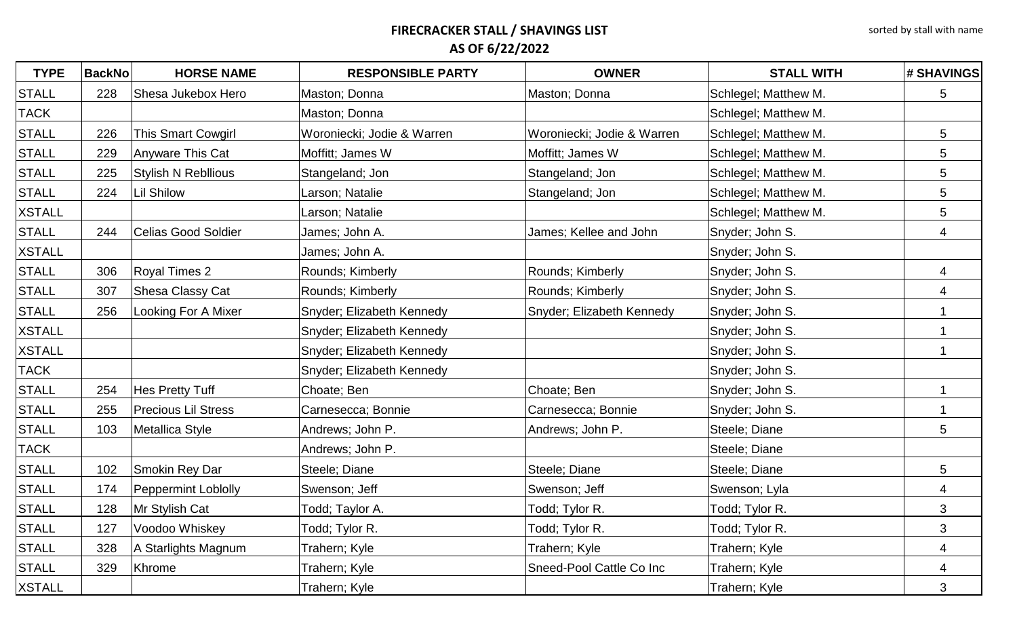| <b>TYPE</b>   | <b>BackNo</b> | <b>HORSE NAME</b>          | <b>RESPONSIBLE PARTY</b>   | <b>OWNER</b>               | <b>STALL WITH</b>    | # SHAVINGS      |
|---------------|---------------|----------------------------|----------------------------|----------------------------|----------------------|-----------------|
| <b>STALL</b>  | 228           | Shesa Jukebox Hero         | Maston; Donna              | Maston; Donna              | Schlegel; Matthew M. | 5               |
| <b>TACK</b>   |               |                            | Maston; Donna              |                            | Schlegel; Matthew M. |                 |
| <b>STALL</b>  | 226           | <b>This Smart Cowgirl</b>  | Woroniecki; Jodie & Warren | Woroniecki; Jodie & Warren | Schlegel; Matthew M. | $5\overline{)}$ |
| <b>STALL</b>  | 229           | Anyware This Cat           | Moffitt; James W           | Moffitt; James W           | Schlegel; Matthew M. | 5               |
| <b>STALL</b>  | 225           | <b>Stylish N Rebllious</b> | Stangeland; Jon            | Stangeland; Jon            | Schlegel; Matthew M. | $5\phantom{.0}$ |
| <b>STALL</b>  | 224           | <b>Lil Shilow</b>          | Larson; Natalie            | Stangeland; Jon            | Schlegel; Matthew M. | $5\phantom{.0}$ |
| <b>XSTALL</b> |               |                            | Larson; Natalie            |                            | Schlegel; Matthew M. | $5\phantom{.0}$ |
| <b>STALL</b>  | 244           | <b>Celias Good Soldier</b> | James; John A.             | James; Kellee and John     | Snyder; John S.      | $\overline{4}$  |
| <b>XSTALL</b> |               |                            | James; John A.             |                            | Snyder; John S.      |                 |
| <b>STALL</b>  | 306           | <b>Royal Times 2</b>       | Rounds; Kimberly           | Rounds; Kimberly           | Snyder; John S.      | 4               |
| <b>STALL</b>  | 307           | Shesa Classy Cat           | Rounds; Kimberly           | Rounds; Kimberly           | Snyder; John S.      | 4               |
| <b>STALL</b>  | 256           | Looking For A Mixer        | Snyder; Elizabeth Kennedy  | Snyder; Elizabeth Kennedy  | Snyder; John S.      |                 |
| <b>XSTALL</b> |               |                            | Snyder; Elizabeth Kennedy  |                            | Snyder; John S.      |                 |
| <b>XSTALL</b> |               |                            | Snyder; Elizabeth Kennedy  |                            | Snyder; John S.      |                 |
| <b>TACK</b>   |               |                            | Snyder; Elizabeth Kennedy  |                            | Snyder; John S.      |                 |
| <b>STALL</b>  | 254           | <b>Hes Pretty Tuff</b>     | Choate; Ben                | Choate; Ben                | Snyder; John S.      |                 |
| <b>STALL</b>  | 255           | <b>Precious Lil Stress</b> | Carnesecca; Bonnie         | Carnesecca; Bonnie         | Snyder; John S.      |                 |
| <b>STALL</b>  | 103           | Metallica Style            | Andrews; John P.           | Andrews; John P.           | Steele; Diane        | 5               |
| <b>TACK</b>   |               |                            | Andrews; John P.           |                            | Steele; Diane        |                 |
| <b>STALL</b>  | 102           | Smokin Rey Dar             | Steele; Diane              | Steele; Diane              | Steele; Diane        | 5               |
| <b>STALL</b>  | 174           | <b>Peppermint Loblolly</b> | Swenson; Jeff              | Swenson; Jeff              | Swenson; Lyla        | 4               |
| <b>STALL</b>  | 128           | Mr Stylish Cat             | Todd; Taylor A.            | Todd; Tylor R.             | Todd; Tylor R.       | 3               |
| <b>STALL</b>  | 127           | Voodoo Whiskey             | Todd; Tylor R.             | Todd; Tylor R.             | Todd; Tylor R.       | $\mathfrak{S}$  |
| <b>STALL</b>  | 328           | A Starlights Magnum        | Trahern; Kyle              | Trahern; Kyle              | Trahern; Kyle        | 4               |
| <b>STALL</b>  | 329           | Khrome                     | Trahern; Kyle              | Sneed-Pool Cattle Co Inc   | Trahern; Kyle        | 4               |
| <b>XSTALL</b> |               |                            | Trahern; Kyle              |                            | Trahern; Kyle        | $\mathbf{3}$    |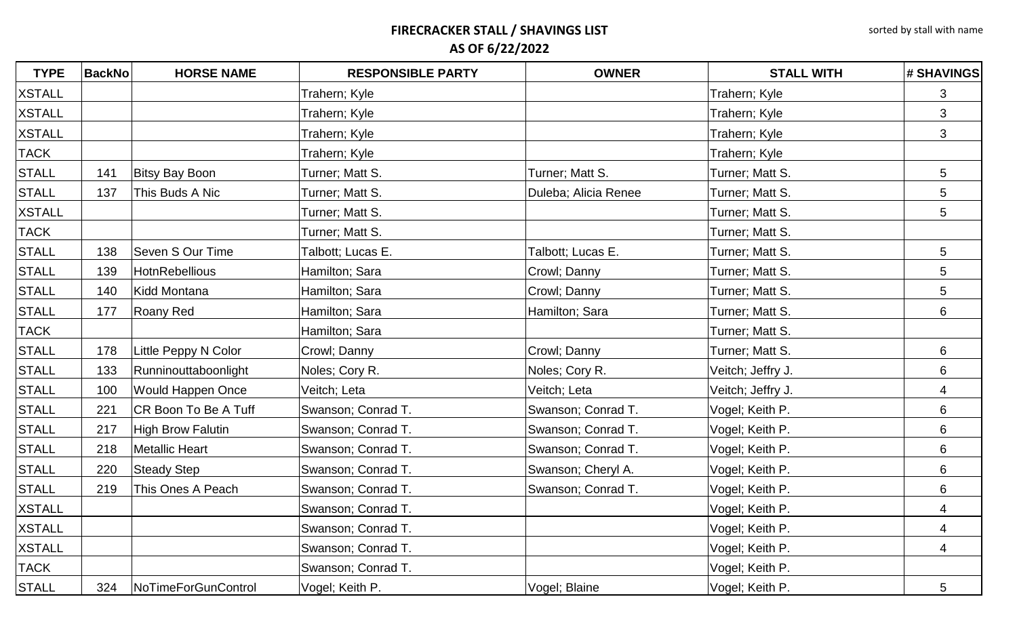| <b>TYPE</b>   | <b>BackNo</b> | <b>HORSE NAME</b>           | <b>RESPONSIBLE PARTY</b> | <b>OWNER</b>         | <b>STALL WITH</b> | # SHAVINGS     |
|---------------|---------------|-----------------------------|--------------------------|----------------------|-------------------|----------------|
| <b>XSTALL</b> |               |                             | Trahern; Kyle            |                      | Trahern; Kyle     | 3              |
| <b>XSTALL</b> |               |                             | Trahern; Kyle            |                      | Trahern; Kyle     | $\mathfrak{B}$ |
| <b>XSTALL</b> |               |                             | Trahern; Kyle            |                      | Trahern; Kyle     | 3              |
| <b>TACK</b>   |               |                             | Trahern; Kyle            |                      | Trahern; Kyle     |                |
| <b>STALL</b>  | 141           | <b>Bitsy Bay Boon</b>       | Turner; Matt S.          | Turner; Matt S.      | Turner; Matt S.   | 5              |
| <b>STALL</b>  | 137           | This Buds A Nic             | Turner; Matt S.          | Duleba; Alicia Renee | Turner; Matt S.   | 5              |
| <b>XSTALL</b> |               |                             | Turner; Matt S.          |                      | Turner; Matt S.   | 5              |
| <b>TACK</b>   |               |                             | Turner; Matt S.          |                      | Turner; Matt S.   |                |
| <b>STALL</b>  | 138           | Seven S Our Time            | Talbott; Lucas E.        | Talbott; Lucas E.    | Turner; Matt S.   | 5              |
| <b>STALL</b>  | 139           | <b>HotnRebellious</b>       | Hamilton; Sara           | Crowl; Danny         | Turner; Matt S.   | 5              |
| <b>STALL</b>  | 140           | <b>Kidd Montana</b>         | Hamilton; Sara           | Crowl; Danny         | Turner; Matt S.   | 5              |
| <b>STALL</b>  | 177           | Roany Red                   | Hamilton; Sara           | Hamilton; Sara       | Turner; Matt S.   | 6              |
| <b>TACK</b>   |               |                             | Hamilton; Sara           |                      | Turner; Matt S.   |                |
| <b>STALL</b>  | 178           | Little Peppy N Color        | Crowl; Danny             | Crowl; Danny         | Turner; Matt S.   | 6              |
| <b>STALL</b>  | 133           | Runninouttaboonlight        | Noles; Cory R.           | Noles; Cory R.       | Veitch; Jeffry J. | 6              |
| <b>STALL</b>  | 100           | <b>Would Happen Once</b>    | Veitch; Leta             | Veitch; Leta         | Veitch; Jeffry J. | 4              |
| <b>STALL</b>  | 221           | <b>CR Boon To Be A Tuff</b> | Swanson; Conrad T.       | Swanson; Conrad T.   | Vogel; Keith P.   | 6              |
| <b>STALL</b>  | 217           | <b>High Brow Falutin</b>    | Swanson; Conrad T.       | Swanson; Conrad T.   | Vogel; Keith P.   | 6              |
| <b>STALL</b>  | 218           | <b>Metallic Heart</b>       | Swanson; Conrad T.       | Swanson; Conrad T.   | Vogel; Keith P.   | 6              |
| <b>STALL</b>  | 220           | <b>Steady Step</b>          | Swanson; Conrad T.       | Swanson; Cheryl A.   | Vogel; Keith P.   | 6              |
| <b>STALL</b>  | 219           | This Ones A Peach           | Swanson; Conrad T.       | Swanson; Conrad T.   | Vogel; Keith P.   | 6              |
| <b>XSTALL</b> |               |                             | Swanson; Conrad T.       |                      | Vogel; Keith P.   | 4              |
| <b>XSTALL</b> |               |                             | Swanson; Conrad T.       |                      | Vogel; Keith P.   | 4              |
| <b>XSTALL</b> |               |                             | Swanson; Conrad T.       |                      | Vogel; Keith P.   | 4              |
| <b>TACK</b>   |               |                             | Swanson; Conrad T.       |                      | Vogel; Keith P.   |                |
| <b>STALL</b>  | 324           | NoTimeForGunControl         | Vogel; Keith P.          | Vogel; Blaine        | Vogel; Keith P.   | 5              |